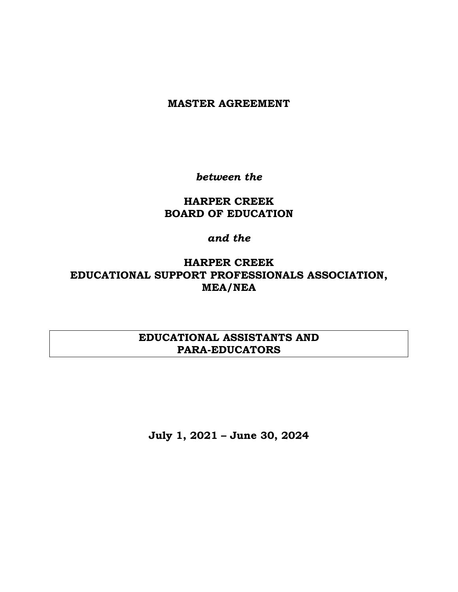### **MASTER AGREEMENT**

*between the*

## **HARPER CREEK BOARD OF EDUCATION**

### *and the*

# **HARPER CREEK EDUCATIONAL SUPPORT PROFESSIONALS ASSOCIATION, MEA/NEA**

## **EDUCATIONAL ASSISTANTS AND PARA-EDUCATORS**

**July 1, 2021 – June 30, 2024**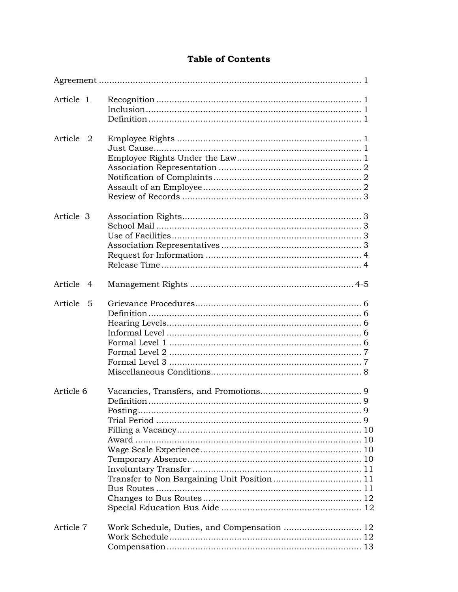### **Table of Contents**

| Article 1 |     |                                             |
|-----------|-----|---------------------------------------------|
|           |     |                                             |
|           |     |                                             |
| Article 2 |     |                                             |
|           |     |                                             |
|           |     |                                             |
|           |     |                                             |
|           |     |                                             |
|           |     |                                             |
|           |     |                                             |
| Article 3 |     |                                             |
|           |     |                                             |
|           |     |                                             |
|           |     |                                             |
|           |     |                                             |
|           |     |                                             |
| Article   | - 4 |                                             |
| Article   | - 5 |                                             |
|           |     |                                             |
|           |     |                                             |
|           |     |                                             |
|           |     |                                             |
|           |     |                                             |
|           |     |                                             |
|           |     |                                             |
| Article 6 |     |                                             |
|           |     |                                             |
|           |     |                                             |
|           |     |                                             |
|           |     |                                             |
|           |     |                                             |
|           |     |                                             |
|           |     |                                             |
|           |     |                                             |
|           |     |                                             |
|           |     |                                             |
|           |     |                                             |
|           |     |                                             |
| Article 7 |     | Work Schedule, Duties, and Compensation  12 |
|           |     |                                             |
|           |     |                                             |
|           |     |                                             |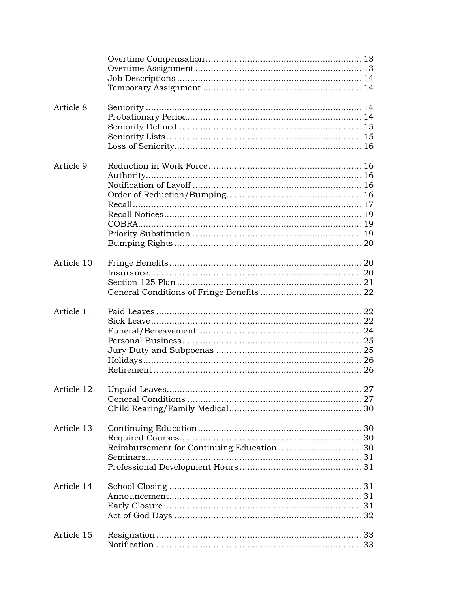| Article 8  |                                            |  |
|------------|--------------------------------------------|--|
| Article 9  |                                            |  |
| Article 10 |                                            |  |
| Article 11 |                                            |  |
|            |                                            |  |
| Article 13 | Reimbursement for Continuing Education  30 |  |
| Article 14 |                                            |  |
| Article 15 |                                            |  |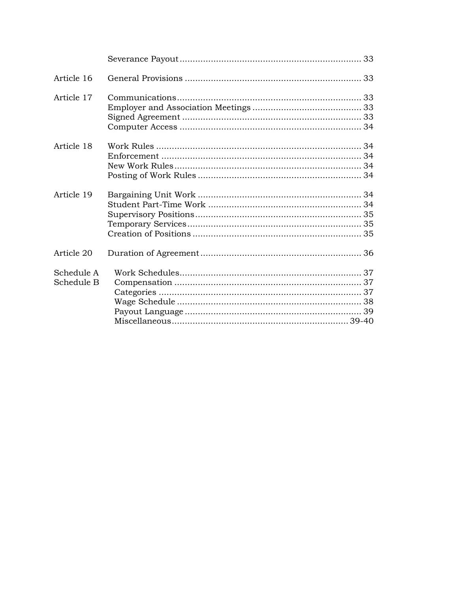| Article 16 |  |
|------------|--|
| Article 17 |  |
|            |  |
|            |  |
|            |  |
| Article 18 |  |
|            |  |
|            |  |
|            |  |
| Article 19 |  |
|            |  |
|            |  |
|            |  |
|            |  |
| Article 20 |  |
| Schedule A |  |
| Schedule B |  |
|            |  |
|            |  |
|            |  |
|            |  |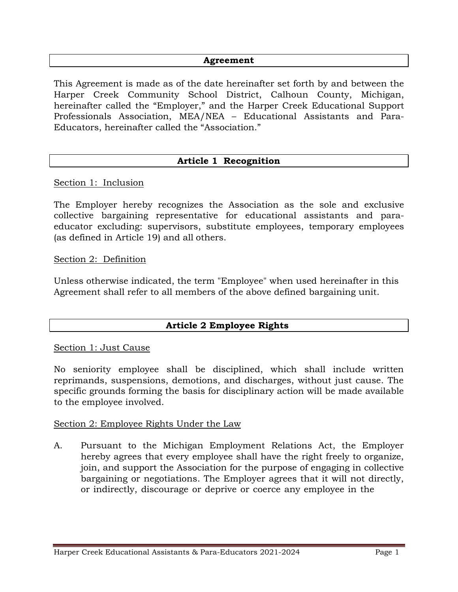#### **Agreement**

This Agreement is made as of the date hereinafter set forth by and between the Harper Creek Community School District, Calhoun County, Michigan, hereinafter called the "Employer," and the Harper Creek Educational Support Professionals Association, MEA/NEA – Educational Assistants and Para-Educators, hereinafter called the "Association."

### **Article 1 Recognition**

Section 1: Inclusion

The Employer hereby recognizes the Association as the sole and exclusive collective bargaining representative for educational assistants and paraeducator excluding: supervisors, substitute employees, temporary employees (as defined in Article 19) and all others.

Section 2: Definition

Unless otherwise indicated, the term "Employee" when used hereinafter in this Agreement shall refer to all members of the above defined bargaining unit.

### **Article 2 Employee Rights**

#### Section 1: Just Cause

No seniority employee shall be disciplined, which shall include written reprimands, suspensions, demotions, and discharges, without just cause. The specific grounds forming the basis for disciplinary action will be made available to the employee involved.

#### Section 2: Employee Rights Under the Law

A. Pursuant to the Michigan Employment Relations Act, the Employer hereby agrees that every employee shall have the right freely to organize, join, and support the Association for the purpose of engaging in collective bargaining or negotiations. The Employer agrees that it will not directly, or indirectly, discourage or deprive or coerce any employee in the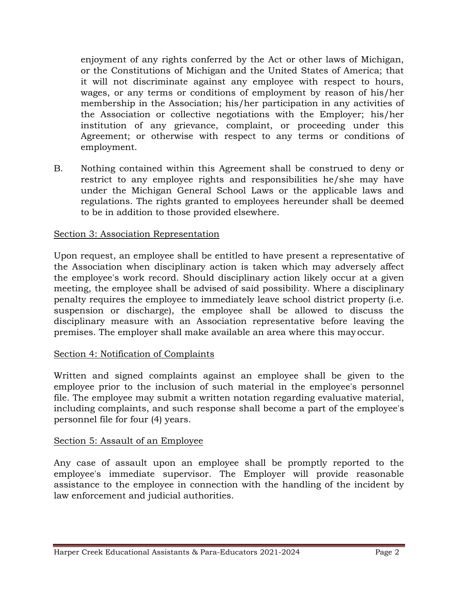enjoyment of any rights conferred by the Act or other laws of Michigan, or the Constitutions of Michigan and the United States of America; that it will not discriminate against any employee with respect to hours, wages, or any terms or conditions of employment by reason of his/her membership in the Association; his/her participation in any activities of the Association or collective negotiations with the Employer; his/her institution of any grievance, complaint, or proceeding under this Agreement; or otherwise with respect to any terms or conditions of employment.

B. Nothing contained within this Agreement shall be construed to deny or restrict to any employee rights and responsibilities he/she may have under the Michigan General School Laws or the applicable laws and regulations. The rights granted to employees hereunder shall be deemed to be in addition to those provided elsewhere.

### Section 3: Association Representation

Upon request, an employee shall be entitled to have present a representative of the Association when disciplinary action is taken which may adversely affect the employee's work record. Should disciplinary action likely occur at a given meeting, the employee shall be advised of said possibility. Where a disciplinary penalty requires the employee to immediately leave school district property (i.e. suspension or discharge), the employee shall be allowed to discuss the disciplinary measure with an Association representative before leaving the premises. The employer shall make available an area where this may occur.

#### Section 4: Notification of Complaints

Written and signed complaints against an employee shall be given to the employee prior to the inclusion of such material in the employee's personnel file. The employee may submit a written notation regarding evaluative material, including complaints, and such response shall become a part of the employee's personnel file for four (4) years.

#### Section 5: Assault of an Employee

Any case of assault upon an employee shall be promptly reported to the employee's immediate supervisor. The Employer will provide reasonable assistance to the employee in connection with the handling of the incident by law enforcement and judicial authorities.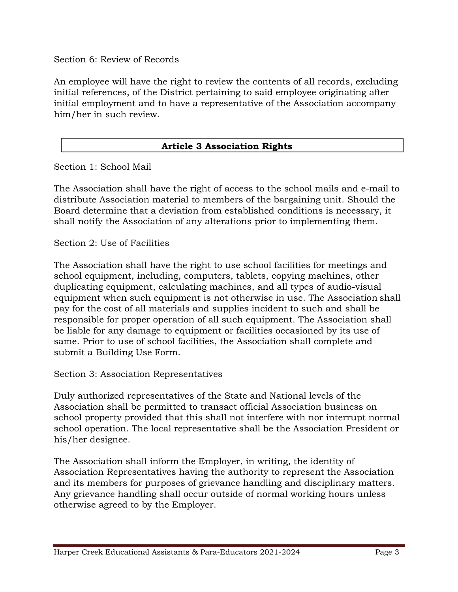Section 6: Review of Records

An employee will have the right to review the contents of all records, excluding initial references, of the District pertaining to said employee originating after initial employment and to have a representative of the Association accompany him/her in such review.

### **Article 3 Association Rights**

Section 1: School Mail

The Association shall have the right of access to the school mails and e-mail to distribute Association material to members of the bargaining unit. Should the Board determine that a deviation from established conditions is necessary, it shall notify the Association of any alterations prior to implementing them.

Section 2: Use of Facilities

The Association shall have the right to use school facilities for meetings and school equipment, including, computers, tablets, copying machines, other duplicating equipment, calculating machines, and all types of audio-visual equipment when such equipment is not otherwise in use. The Association shall pay for the cost of all materials and supplies incident to such and shall be responsible for proper operation of all such equipment. The Association shall be liable for any damage to equipment or facilities occasioned by its use of same. Prior to use of school facilities, the Association shall complete and submit a Building Use Form.

Section 3: Association Representatives

Duly authorized representatives of the State and National levels of the Association shall be permitted to transact official Association business on school property provided that this shall not interfere with nor interrupt normal school operation. The local representative shall be the Association President or his/her designee.

The Association shall inform the Employer, in writing, the identity of Association Representatives having the authority to represent the Association and its members for purposes of grievance handling and disciplinary matters. Any grievance handling shall occur outside of normal working hours unless otherwise agreed to by the Employer.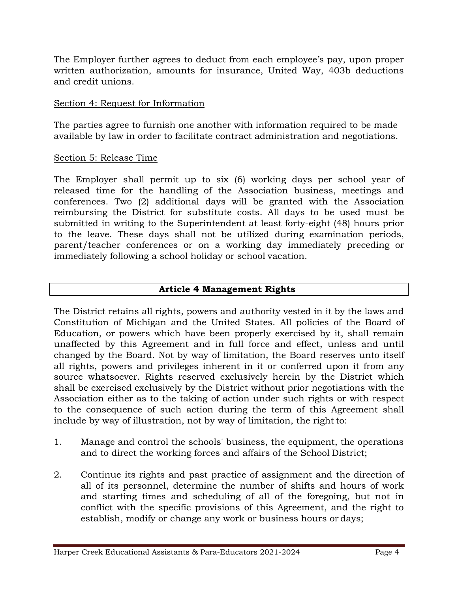The Employer further agrees to deduct from each employee's pay, upon proper written authorization, amounts for insurance, United Way, 403b deductions and credit unions.

### Section 4: Request for Information

The parties agree to furnish one another with information required to be made available by law in order to facilitate contract administration and negotiations.

### Section 5: Release Time

The Employer shall permit up to six (6) working days per school year of released time for the handling of the Association business, meetings and conferences. Two (2) additional days will be granted with the Association reimbursing the District for substitute costs. All days to be used must be submitted in writing to the Superintendent at least forty-eight (48) hours prior to the leave. These days shall not be utilized during examination periods, parent/teacher conferences or on a working day immediately preceding or immediately following a school holiday or school vacation.

### **Article 4 Management Rights**

The District retains all rights, powers and authority vested in it by the laws and Constitution of Michigan and the United States. All policies of the Board of Education, or powers which have been properly exercised by it, shall remain unaffected by this Agreement and in full force and effect, unless and until changed by the Board. Not by way of limitation, the Board reserves unto itself all rights, powers and privileges inherent in it or conferred upon it from any source whatsoever. Rights reserved exclusively herein by the District which shall be exercised exclusively by the District without prior negotiations with the Association either as to the taking of action under such rights or with respect to the consequence of such action during the term of this Agreement shall include by way of illustration, not by way of limitation, the right to:

- 1. Manage and control the schools' business, the equipment, the operations and to direct the working forces and affairs of the School District;
- 2. Continue its rights and past practice of assignment and the direction of all of its personnel, determine the number of shifts and hours of work and starting times and scheduling of all of the foregoing, but not in conflict with the specific provisions of this Agreement, and the right to establish, modify or change any work or business hours or days;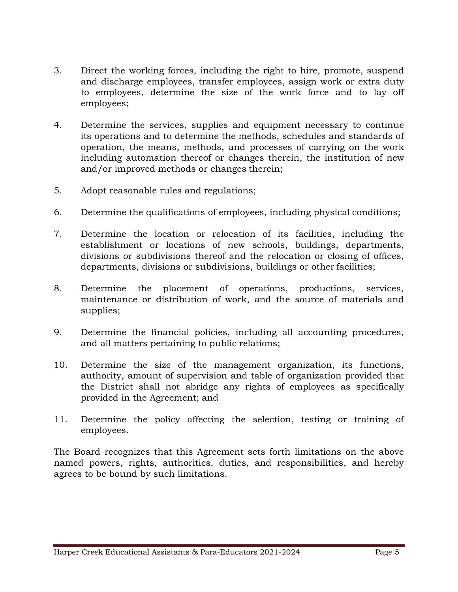- 3. Direct the working forces, including the right to hire, promote, suspend and discharge employees, transfer employees, assign work or extra duty to employees, determine the size of the work force and to lay off employees;
- 4. Determine the services, supplies and equipment necessary to continue its operations and to determine the methods, schedules and standards of operation, the means, methods, and processes of carrying on the work including automation thereof or changes therein, the institution of new and/or improved methods or changes therein;
- 5. Adopt reasonable rules and regulations;
- 6. Determine the qualifications of employees, including physical conditions;
- 7. Determine the location or relocation of its facilities, including the establishment or locations of new schools, buildings, departments, divisions or subdivisions thereof and the relocation or closing of offices, departments, divisions or subdivisions, buildings or other facilities;
- 8. Determine the placement of operations, productions, services, maintenance or distribution of work, and the source of materials and supplies;
- 9. Determine the financial policies, including all accounting procedures, and all matters pertaining to public relations;
- 10. Determine the size of the management organization, its functions, authority, amount of supervision and table of organization provided that the District shall not abridge any rights of employees as specifically provided in the Agreement; and
- 11. Determine the policy affecting the selection, testing or training of employees.

The Board recognizes that this Agreement sets forth limitations on the above named powers, rights, authorities, duties, and responsibilities, and hereby agrees to be bound by such limitations.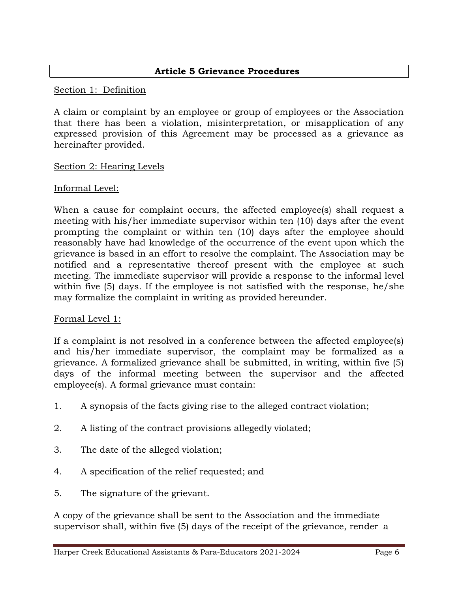Section 1: Definition

A claim or complaint by an employee or group of employees or the Association that there has been a violation, misinterpretation, or misapplication of any expressed provision of this Agreement may be processed as a grievance as hereinafter provided.

### Section 2: Hearing Levels

#### Informal Level:

When a cause for complaint occurs, the affected employee(s) shall request a meeting with his/her immediate supervisor within ten (10) days after the event prompting the complaint or within ten (10) days after the employee should reasonably have had knowledge of the occurrence of the event upon which the grievance is based in an effort to resolve the complaint. The Association may be notified and a representative thereof present with the employee at such meeting. The immediate supervisor will provide a response to the informal level within five (5) days. If the employee is not satisfied with the response, he/she may formalize the complaint in writing as provided hereunder.

#### Formal Level 1:

If a complaint is not resolved in a conference between the affected employee(s) and his/her immediate supervisor, the complaint may be formalized as a grievance. A formalized grievance shall be submitted, in writing, within five (5) days of the informal meeting between the supervisor and the affected employee(s). A formal grievance must contain:

- 1. A synopsis of the facts giving rise to the alleged contract violation;
- 2. A listing of the contract provisions allegedly violated;
- 3. The date of the alleged violation;
- 4. A specification of the relief requested; and
- 5. The signature of the grievant.

A copy of the grievance shall be sent to the Association and the immediate supervisor shall, within five (5) days of the receipt of the grievance, render a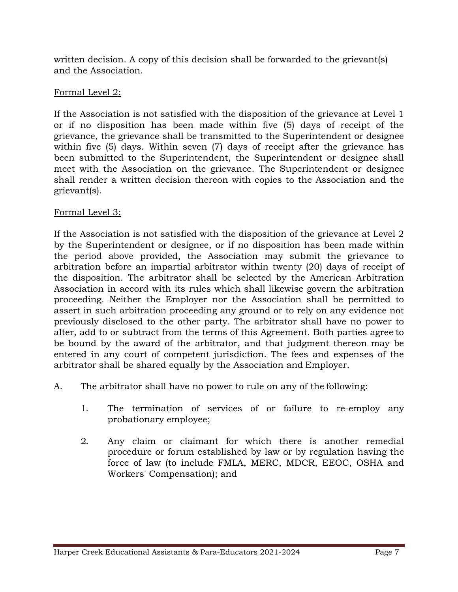written decision. A copy of this decision shall be forwarded to the grievant(s) and the Association.

### Formal Level 2:

If the Association is not satisfied with the disposition of the grievance at Level 1 or if no disposition has been made within five (5) days of receipt of the grievance, the grievance shall be transmitted to the Superintendent or designee within five (5) days. Within seven (7) days of receipt after the grievance has been submitted to the Superintendent, the Superintendent or designee shall meet with the Association on the grievance. The Superintendent or designee shall render a written decision thereon with copies to the Association and the grievant(s).

### Formal Level 3:

If the Association is not satisfied with the disposition of the grievance at Level 2 by the Superintendent or designee, or if no disposition has been made within the period above provided, the Association may submit the grievance to arbitration before an impartial arbitrator within twenty (20) days of receipt of the disposition. The arbitrator shall be selected by the American Arbitration Association in accord with its rules which shall likewise govern the arbitration proceeding. Neither the Employer nor the Association shall be permitted to assert in such arbitration proceeding any ground or to rely on any evidence not previously disclosed to the other party. The arbitrator shall have no power to alter, add to or subtract from the terms of this Agreement. Both parties agree to be bound by the award of the arbitrator, and that judgment thereon may be entered in any court of competent jurisdiction. The fees and expenses of the arbitrator shall be shared equally by the Association and Employer.

- A. The arbitrator shall have no power to rule on any of the following:
	- 1. The termination of services of or failure to re-employ any probationary employee;
	- 2. Any claim or claimant for which there is another remedial procedure or forum established by law or by regulation having the force of law (to include FMLA, MERC, MDCR, EEOC, OSHA and Workers' Compensation); and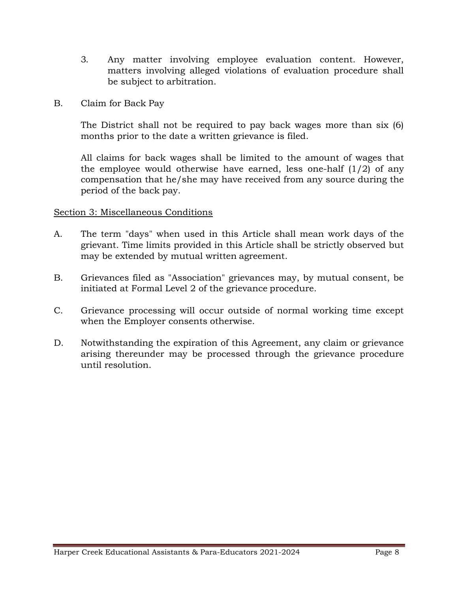- 3. Any matter involving employee evaluation content. However, matters involving alleged violations of evaluation procedure shall be subject to arbitration.
- B. Claim for Back Pay

The District shall not be required to pay back wages more than six (6) months prior to the date a written grievance is filed.

All claims for back wages shall be limited to the amount of wages that the employee would otherwise have earned, less one-half  $(1/2)$  of any compensation that he/she may have received from any source during the period of the back pay.

### Section 3: Miscellaneous Conditions

- A. The term "days" when used in this Article shall mean work days of the grievant. Time limits provided in this Article shall be strictly observed but may be extended by mutual written agreement.
- B. Grievances filed as "Association" grievances may, by mutual consent, be initiated at Formal Level 2 of the grievance procedure.
- C. Grievance processing will occur outside of normal working time except when the Employer consents otherwise.
- D. Notwithstanding the expiration of this Agreement, any claim or grievance arising thereunder may be processed through the grievance procedure until resolution.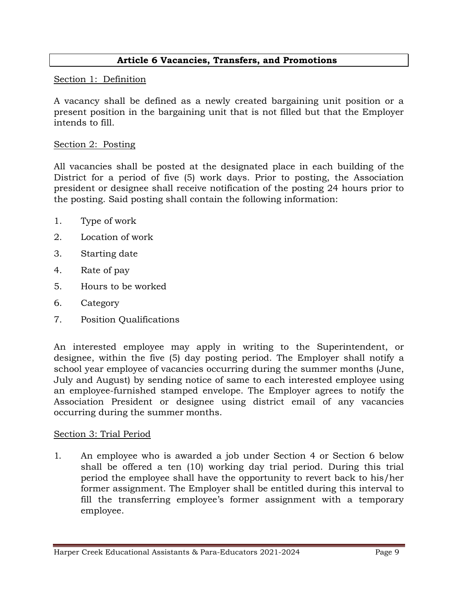### **Article 6 Vacancies, Transfers, and Promotions**

#### Section 1: Definition

A vacancy shall be defined as a newly created bargaining unit position or a present position in the bargaining unit that is not filled but that the Employer intends to fill.

### Section 2: Posting

All vacancies shall be posted at the designated place in each building of the District for a period of five (5) work days. Prior to posting, the Association president or designee shall receive notification of the posting 24 hours prior to the posting. Said posting shall contain the following information:

- 1. Type of work
- 2. Location of work
- 3. Starting date
- 4. Rate of pay
- 5. Hours to be worked
- 6. Category
- 7. Position Qualifications

An interested employee may apply in writing to the Superintendent, or designee, within the five (5) day posting period. The Employer shall notify a school year employee of vacancies occurring during the summer months (June, July and August) by sending notice of same to each interested employee using an employee-furnished stamped envelope. The Employer agrees to notify the Association President or designee using district email of any vacancies occurring during the summer months.

### Section 3: Trial Period

1. An employee who is awarded a job under Section 4 or Section 6 below shall be offered a ten (10) working day trial period. During this trial period the employee shall have the opportunity to revert back to his/her former assignment. The Employer shall be entitled during this interval to fill the transferring employee's former assignment with a temporary employee.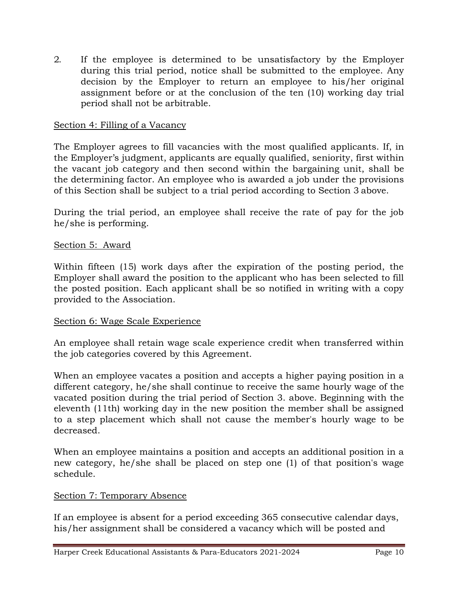2. If the employee is determined to be unsatisfactory by the Employer during this trial period, notice shall be submitted to the employee. Any decision by the Employer to return an employee to his/her original assignment before or at the conclusion of the ten (10) working day trial period shall not be arbitrable.

### Section 4: Filling of a Vacancy

The Employer agrees to fill vacancies with the most qualified applicants. If, in the Employer's judgment, applicants are equally qualified, seniority, first within the vacant job category and then second within the bargaining unit, shall be the determining factor. An employee who is awarded a job under the provisions of this Section shall be subject to a trial period according to Section 3 above.

During the trial period, an employee shall receive the rate of pay for the job he/she is performing.

#### Section 5: Award

Within fifteen (15) work days after the expiration of the posting period, the Employer shall award the position to the applicant who has been selected to fill the posted position. Each applicant shall be so notified in writing with a copy provided to the Association.

#### Section 6: Wage Scale Experience

An employee shall retain wage scale experience credit when transferred within the job categories covered by this Agreement.

When an employee vacates a position and accepts a higher paying position in a different category, he/she shall continue to receive the same hourly wage of the vacated position during the trial period of Section 3. above. Beginning with the eleventh (11th) working day in the new position the member shall be assigned to a step placement which shall not cause the member's hourly wage to be decreased.

When an employee maintains a position and accepts an additional position in a new category, he/she shall be placed on step one (1) of that position's wage schedule.

#### Section 7: Temporary Absence

If an employee is absent for a period exceeding 365 consecutive calendar days, his/her assignment shall be considered a vacancy which will be posted and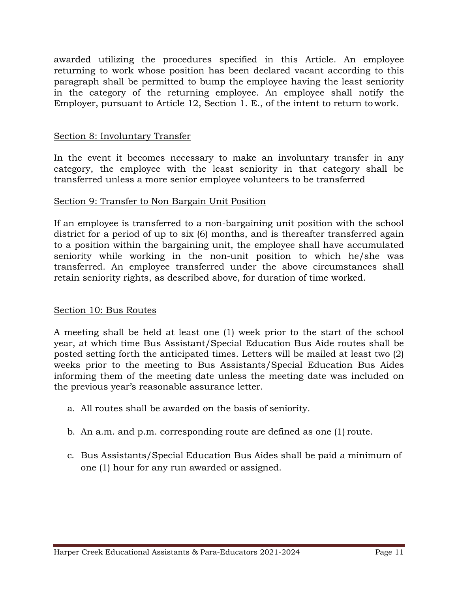awarded utilizing the procedures specified in this Article. An employee returning to work whose position has been declared vacant according to this paragraph shall be permitted to bump the employee having the least seniority in the category of the returning employee. An employee shall notify the Employer, pursuant to Article 12, Section 1. E., of the intent to return to work.

#### Section 8: Involuntary Transfer

In the event it becomes necessary to make an involuntary transfer in any category, the employee with the least seniority in that category shall be transferred unless a more senior employee volunteers to be transferred

#### Section 9: Transfer to Non Bargain Unit Position

If an employee is transferred to a non-bargaining unit position with the school district for a period of up to six (6) months, and is thereafter transferred again to a position within the bargaining unit, the employee shall have accumulated seniority while working in the non-unit position to which he/she was transferred. An employee transferred under the above circumstances shall retain seniority rights, as described above, for duration of time worked.

#### Section 10: Bus Routes

A meeting shall be held at least one (1) week prior to the start of the school year, at which time Bus Assistant/Special Education Bus Aide routes shall be posted setting forth the anticipated times. Letters will be mailed at least two (2) weeks prior to the meeting to Bus Assistants/Special Education Bus Aides informing them of the meeting date unless the meeting date was included on the previous year's reasonable assurance letter.

- a. All routes shall be awarded on the basis of seniority.
- b. An a.m. and p.m. corresponding route are defined as one (1) route.
- c. Bus Assistants/Special Education Bus Aides shall be paid a minimum of one (1) hour for any run awarded or assigned.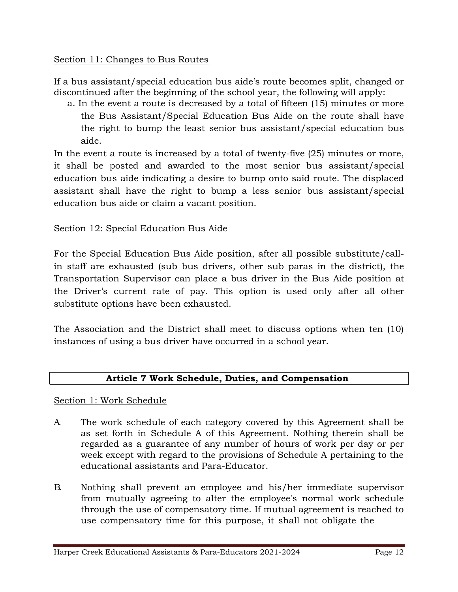### Section 11: Changes to Bus Routes

If a bus assistant/special education bus aide's route becomes split, changed or discontinued after the beginning of the school year, the following will apply:

a. In the event a route is decreased by a total of fifteen (15) minutes or more the Bus Assistant/Special Education Bus Aide on the route shall have the right to bump the least senior bus assistant/special education bus aide.

In the event a route is increased by a total of twenty-five (25) minutes or more, it shall be posted and awarded to the most senior bus assistant/special education bus aide indicating a desire to bump onto said route. The displaced assistant shall have the right to bump a less senior bus assistant/special education bus aide or claim a vacant position.

### Section 12: Special Education Bus Aide

For the Special Education Bus Aide position, after all possible substitute/callin staff are exhausted (sub bus drivers, other sub paras in the district), the Transportation Supervisor can place a bus driver in the Bus Aide position at the Driver's current rate of pay. This option is used only after all other substitute options have been exhausted.

The Association and the District shall meet to discuss options when ten (10) instances of using a bus driver have occurred in a school year.

### **Article 7 Work Schedule, Duties, and Compensation**

### Section 1: Work Schedule

- A. The work schedule of each category covered by this Agreement shall be as set forth in Schedule A of this Agreement. Nothing therein shall be regarded as a guarantee of any number of hours of work per day or per week except with regard to the provisions of Schedule A pertaining to the educational assistants and Para-Educator.
- B. Nothing shall prevent an employee and his/her immediate supervisor from mutually agreeing to alter the employee's normal work schedule through the use of compensatory time. If mutual agreement is reached to use compensatory time for this purpose, it shall not obligate the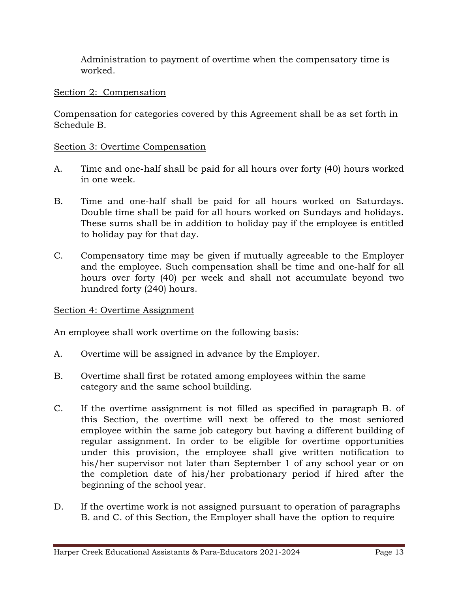Administration to payment of overtime when the compensatory time is worked.

### Section 2: Compensation

Compensation for categories covered by this Agreement shall be as set forth in Schedule B.

#### Section 3: Overtime Compensation

- A. Time and one-half shall be paid for all hours over forty (40) hours worked in one week.
- B. Time and one-half shall be paid for all hours worked on Saturdays. Double time shall be paid for all hours worked on Sundays and holidays. These sums shall be in addition to holiday pay if the employee is entitled to holiday pay for that day.
- C. Compensatory time may be given if mutually agreeable to the Employer and the employee. Such compensation shall be time and one-half for all hours over forty (40) per week and shall not accumulate beyond two hundred forty (240) hours.

#### Section 4: Overtime Assignment

An employee shall work overtime on the following basis:

- A. Overtime will be assigned in advance by the Employer.
- B. Overtime shall first be rotated among employees within the same category and the same school building.
- C. If the overtime assignment is not filled as specified in paragraph B. of this Section, the overtime will next be offered to the most seniored employee within the same job category but having a different building of regular assignment. In order to be eligible for overtime opportunities under this provision, the employee shall give written notification to his/her supervisor not later than September 1 of any school year or on the completion date of his/her probationary period if hired after the beginning of the school year.
- D. If the overtime work is not assigned pursuant to operation of paragraphs B. and C. of this Section, the Employer shall have the option to require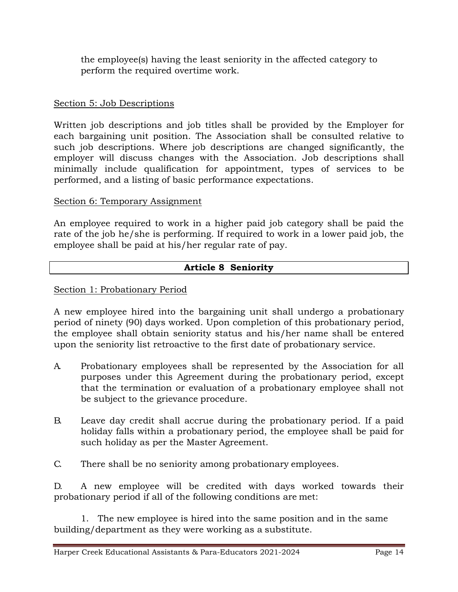the employee(s) having the least seniority in the affected category to perform the required overtime work.

### Section 5: Job Descriptions

Written job descriptions and job titles shall be provided by the Employer for each bargaining unit position. The Association shall be consulted relative to such job descriptions. Where job descriptions are changed significantly, the employer will discuss changes with the Association. Job descriptions shall minimally include qualification for appointment, types of services to be performed, and a listing of basic performance expectations.

### Section 6: Temporary Assignment

An employee required to work in a higher paid job category shall be paid the rate of the job he/she is performing. If required to work in a lower paid job, the employee shall be paid at his/her regular rate of pay.

### **Article 8 Seniority**

#### Section 1: Probationary Period

A new employee hired into the bargaining unit shall undergo a probationary period of ninety (90) days worked. Upon completion of this probationary period, the employee shall obtain seniority status and his/her name shall be entered upon the seniority list retroactive to the first date of probationary service.

- A. Probationary employees shall be represented by the Association for all purposes under this Agreement during the probationary period, except that the termination or evaluation of a probationary employee shall not be subject to the grievance procedure.
- B. Leave day credit shall accrue during the probationary period. If a paid holiday falls within a probationary period, the employee shall be paid for such holiday as per the Master Agreement.
- C. There shall be no seniority among probationary employees.

D. A new employee will be credited with days worked towards their probationary period if all of the following conditions are met:

1. The new employee is hired into the same position and in the same building/department as they were working as a substitute.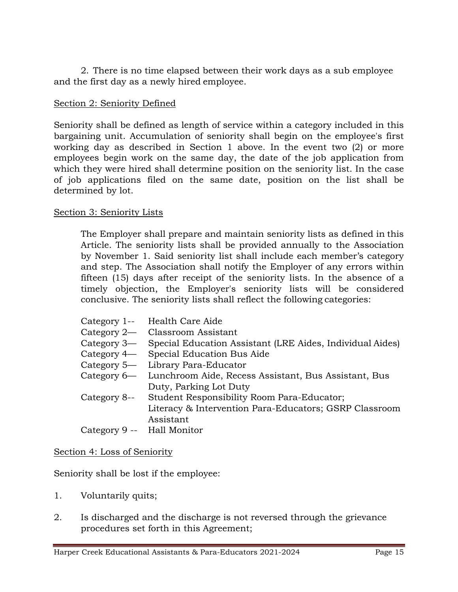2. There is no time elapsed between their work days as a sub employee and the first day as a newly hired employee.

### Section 2: Seniority Defined

Seniority shall be defined as length of service within a category included in this bargaining unit. Accumulation of seniority shall begin on the employee's first working day as described in Section 1 above. In the event two (2) or more employees begin work on the same day, the date of the job application from which they were hired shall determine position on the seniority list. In the case of job applications filed on the same date, position on the list shall be determined by lot.

#### Section 3: Seniority Lists

The Employer shall prepare and maintain seniority lists as defined in this Article. The seniority lists shall be provided annually to the Association by November 1. Said seniority list shall include each member's category and step. The Association shall notify the Employer of any errors within fifteen (15) days after receipt of the seniority lists. In the absence of a timely objection, the Employer's seniority lists will be considered conclusive. The seniority lists shall reflect the following categories:

|                            | Category 1-- Health Care Aide                             |
|----------------------------|-----------------------------------------------------------|
|                            |                                                           |
|                            | Category 2— Classroom Assistant                           |
| Category 3—                | Special Education Assistant (LRE Aides, Individual Aides) |
|                            | Category 4— Special Education Bus Aide                    |
|                            | Category 5— Library Para-Educator                         |
| Category 6—                | Lunchroom Aide, Recess Assistant, Bus Assistant, Bus      |
|                            | Duty, Parking Lot Duty                                    |
| Category 8--               | Student Responsibility Room Para-Educator;                |
|                            | Literacy & Intervention Para-Educators; GSRP Classroom    |
|                            | Assistant                                                 |
| Category 9 -- Hall Monitor |                                                           |
|                            |                                                           |

#### Section 4: Loss of Seniority

Seniority shall be lost if the employee:

- 1. Voluntarily quits;
- 2. Is discharged and the discharge is not reversed through the grievance procedures set forth in this Agreement;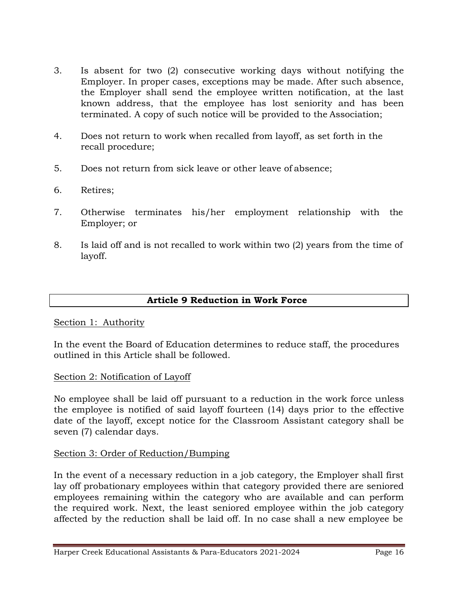- 3. Is absent for two (2) consecutive working days without notifying the Employer. In proper cases, exceptions may be made. After such absence, the Employer shall send the employee written notification, at the last known address, that the employee has lost seniority and has been terminated. A copy of such notice will be provided to the Association;
- 4. Does not return to work when recalled from layoff, as set forth in the recall procedure;
- 5. Does not return from sick leave or other leave of absence;
- 6. Retires;
- 7. Otherwise terminates his/her employment relationship with the Employer; or
- 8. Is laid off and is not recalled to work within two (2) years from the time of layoff.

#### **Article 9 Reduction in Work Force**

#### Section 1: Authority

In the event the Board of Education determines to reduce staff, the procedures outlined in this Article shall be followed.

#### Section 2: Notification of Layoff

No employee shall be laid off pursuant to a reduction in the work force unless the employee is notified of said layoff fourteen (14) days prior to the effective date of the layoff, except notice for the Classroom Assistant category shall be seven (7) calendar days.

#### Section 3: Order of Reduction/Bumping

In the event of a necessary reduction in a job category, the Employer shall first lay off probationary employees within that category provided there are seniored employees remaining within the category who are available and can perform the required work. Next, the least seniored employee within the job category affected by the reduction shall be laid off. In no case shall a new employee be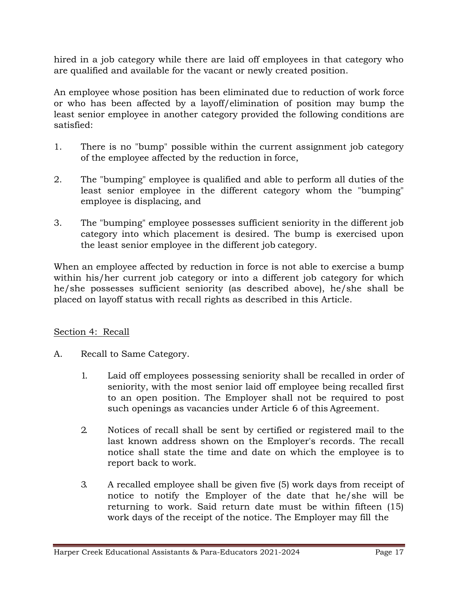hired in a job category while there are laid off employees in that category who are qualified and available for the vacant or newly created position.

An employee whose position has been eliminated due to reduction of work force or who has been affected by a layoff/elimination of position may bump the least senior employee in another category provided the following conditions are satisfied:

- 1. There is no "bump" possible within the current assignment job category of the employee affected by the reduction in force,
- 2. The "bumping" employee is qualified and able to perform all duties of the least senior employee in the different category whom the "bumping" employee is displacing, and
- 3. The "bumping" employee possesses sufficient seniority in the different job category into which placement is desired. The bump is exercised upon the least senior employee in the different job category.

When an employee affected by reduction in force is not able to exercise a bump within his/her current job category or into a different job category for which he/she possesses sufficient seniority (as described above), he/she shall be placed on layoff status with recall rights as described in this Article.

### Section 4: Recall

- A. Recall to Same Category.
	- 1. Laid off employees possessing seniority shall be recalled in order of seniority, with the most senior laid off employee being recalled first to an open position. The Employer shall not be required to post such openings as vacancies under Article 6 of this Agreement.
	- 2. Notices of recall shall be sent by certified or registered mail to the last known address shown on the Employer's records. The recall notice shall state the time and date on which the employee is to report back to work.
	- 3. A recalled employee shall be given five (5) work days from receipt of notice to notify the Employer of the date that he/she will be returning to work. Said return date must be within fifteen (15) work days of the receipt of the notice. The Employer may fill the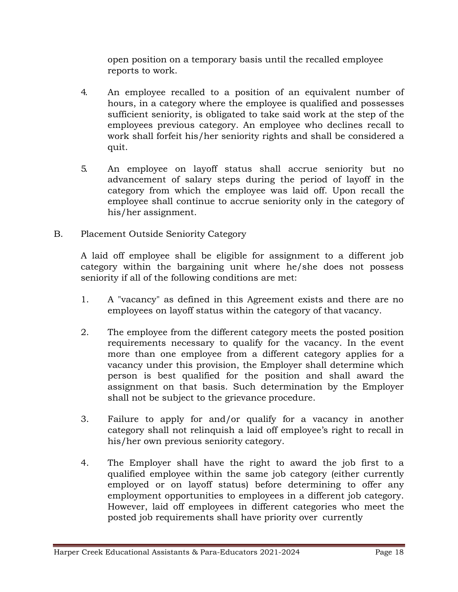open position on a temporary basis until the recalled employee reports to work.

- 4. An employee recalled to a position of an equivalent number of hours, in a category where the employee is qualified and possesses sufficient seniority, is obligated to take said work at the step of the employees previous category. An employee who declines recall to work shall forfeit his/her seniority rights and shall be considered a quit.
- 5. An employee on layoff status shall accrue seniority but no advancement of salary steps during the period of layoff in the category from which the employee was laid off. Upon recall the employee shall continue to accrue seniority only in the category of his/her assignment.
- B. Placement Outside Seniority Category

A laid off employee shall be eligible for assignment to a different job category within the bargaining unit where he/she does not possess seniority if all of the following conditions are met:

- 1. A "vacancy" as defined in this Agreement exists and there are no employees on layoff status within the category of that vacancy.
- 2. The employee from the different category meets the posted position requirements necessary to qualify for the vacancy. In the event more than one employee from a different category applies for a vacancy under this provision, the Employer shall determine which person is best qualified for the position and shall award the assignment on that basis. Such determination by the Employer shall not be subject to the grievance procedure.
- 3. Failure to apply for and/or qualify for a vacancy in another category shall not relinquish a laid off employee's right to recall in his/her own previous seniority category.
- 4. The Employer shall have the right to award the job first to a qualified employee within the same job category (either currently employed or on layoff status) before determining to offer any employment opportunities to employees in a different job category. However, laid off employees in different categories who meet the posted job requirements shall have priority over currently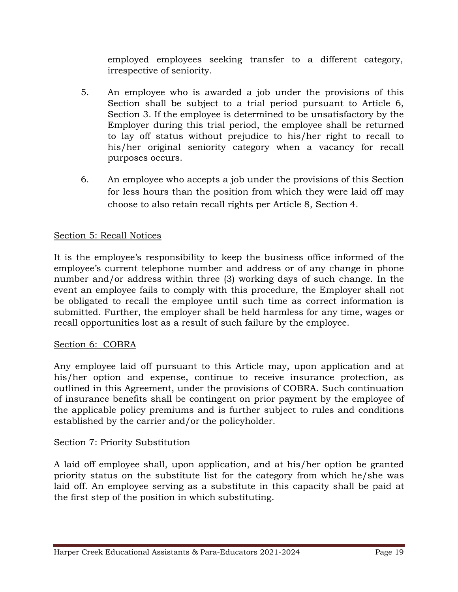employed employees seeking transfer to a different category, irrespective of seniority.

- 5. An employee who is awarded a job under the provisions of this Section shall be subject to a trial period pursuant to Article 6, Section 3. If the employee is determined to be unsatisfactory by the Employer during this trial period, the employee shall be returned to lay off status without prejudice to his/her right to recall to his/her original seniority category when a vacancy for recall purposes occurs.
- 6. An employee who accepts a job under the provisions of this Section for less hours than the position from which they were laid off may choose to also retain recall rights per Article 8, Section 4.

### Section 5: Recall Notices

It is the employee's responsibility to keep the business office informed of the employee's current telephone number and address or of any change in phone number and/or address within three (3) working days of such change. In the event an employee fails to comply with this procedure, the Employer shall not be obligated to recall the employee until such time as correct information is submitted. Further, the employer shall be held harmless for any time, wages or recall opportunities lost as a result of such failure by the employee.

### Section 6: COBRA

Any employee laid off pursuant to this Article may, upon application and at his/her option and expense, continue to receive insurance protection, as outlined in this Agreement, under the provisions of COBRA. Such continuation of insurance benefits shall be contingent on prior payment by the employee of the applicable policy premiums and is further subject to rules and conditions established by the carrier and/or the policyholder.

### Section 7: Priority Substitution

A laid off employee shall, upon application, and at his/her option be granted priority status on the substitute list for the category from which he/she was laid off. An employee serving as a substitute in this capacity shall be paid at the first step of the position in which substituting.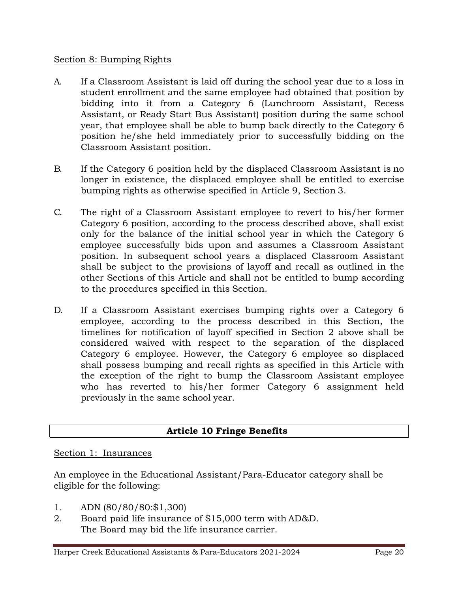### Section 8: Bumping Rights

- A. If a Classroom Assistant is laid off during the school year due to a loss in student enrollment and the same employee had obtained that position by bidding into it from a Category 6 (Lunchroom Assistant, Recess Assistant, or Ready Start Bus Assistant) position during the same school year, that employee shall be able to bump back directly to the Category 6 position he/she held immediately prior to successfully bidding on the Classroom Assistant position.
- B. If the Category 6 position held by the displaced Classroom Assistant is no longer in existence, the displaced employee shall be entitled to exercise bumping rights as otherwise specified in Article 9, Section 3.
- C. The right of a Classroom Assistant employee to revert to his/her former Category 6 position, according to the process described above, shall exist only for the balance of the initial school year in which the Category 6 employee successfully bids upon and assumes a Classroom Assistant position. In subsequent school years a displaced Classroom Assistant shall be subject to the provisions of layoff and recall as outlined in the other Sections of this Article and shall not be entitled to bump according to the procedures specified in this Section.
- D. If a Classroom Assistant exercises bumping rights over a Category 6 employee, according to the process described in this Section, the timelines for notification of layoff specified in Section 2 above shall be considered waived with respect to the separation of the displaced Category 6 employee. However, the Category 6 employee so displaced shall possess bumping and recall rights as specified in this Article with the exception of the right to bump the Classroom Assistant employee who has reverted to his/her former Category 6 assignment held previously in the same school year.

## **Article 10 Fringe Benefits**

### Section 1: Insurances

An employee in the Educational Assistant/Para-Educator category shall be eligible for the following:

- 1. ADN (80/80/80:\$1,300)
- 2. Board paid life insurance of \$15,000 term with AD&D. The Board may bid the life insurance carrier.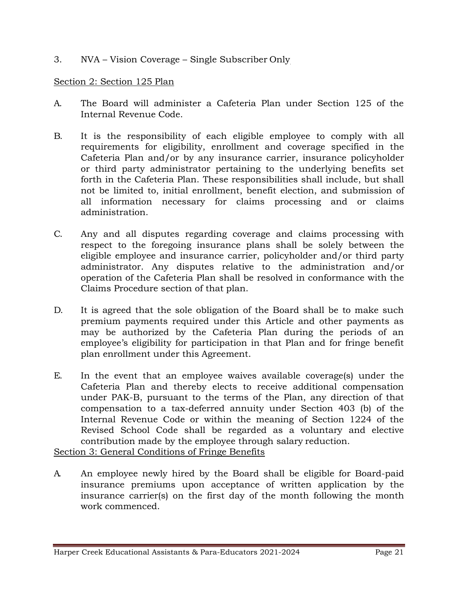3. NVA – Vision Coverage – Single Subscriber Only

### Section 2: Section 125 Plan

- A. The Board will administer a Cafeteria Plan under Section 125 of the Internal Revenue Code.
- B. It is the responsibility of each eligible employee to comply with all requirements for eligibility, enrollment and coverage specified in the Cafeteria Plan and/or by any insurance carrier, insurance policyholder or third party administrator pertaining to the underlying benefits set forth in the Cafeteria Plan. These responsibilities shall include, but shall not be limited to, initial enrollment, benefit election, and submission of all information necessary for claims processing and or claims administration.
- C. Any and all disputes regarding coverage and claims processing with respect to the foregoing insurance plans shall be solely between the eligible employee and insurance carrier, policyholder and/or third party administrator. Any disputes relative to the administration and/or operation of the Cafeteria Plan shall be resolved in conformance with the Claims Procedure section of that plan.
- D. It is agreed that the sole obligation of the Board shall be to make such premium payments required under this Article and other payments as may be authorized by the Cafeteria Plan during the periods of an employee's eligibility for participation in that Plan and for fringe benefit plan enrollment under this Agreement.
- E. In the event that an employee waives available coverage(s) under the Cafeteria Plan and thereby elects to receive additional compensation under PAK-B, pursuant to the terms of the Plan, any direction of that compensation to a tax-deferred annuity under Section 403 (b) of the Internal Revenue Code or within the meaning of Section 1224 of the Revised School Code shall be regarded as a voluntary and elective contribution made by the employee through salary reduction. Section 3: General Conditions of Fringe Benefits
- A. An employee newly hired by the Board shall be eligible for Board-paid insurance premiums upon acceptance of written application by the insurance carrier(s) on the first day of the month following the month work commenced.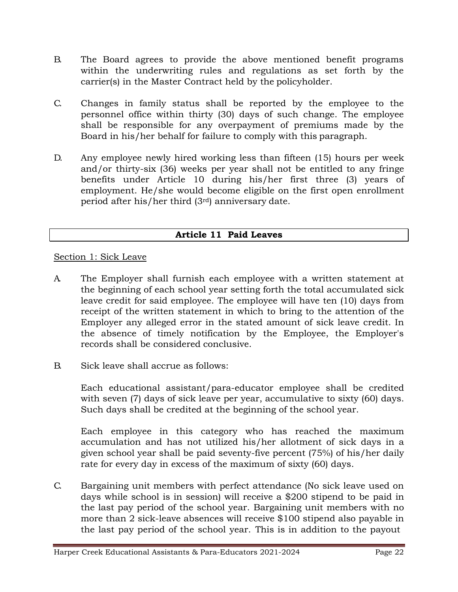- B. The Board agrees to provide the above mentioned benefit programs within the underwriting rules and regulations as set forth by the carrier(s) in the Master Contract held by the policyholder.
- C. Changes in family status shall be reported by the employee to the personnel office within thirty (30) days of such change. The employee shall be responsible for any overpayment of premiums made by the Board in his/her behalf for failure to comply with this paragraph.
- D. Any employee newly hired working less than fifteen (15) hours per week and/or thirty-six (36) weeks per year shall not be entitled to any fringe benefits under Article 10 during his/her first three (3) years of employment. He/she would become eligible on the first open enrollment period after his/her third (3rd) anniversary date.

### **Article 11 Paid Leaves**

### Section 1: Sick Leave

- A. The Employer shall furnish each employee with a written statement at the beginning of each school year setting forth the total accumulated sick leave credit for said employee. The employee will have ten (10) days from receipt of the written statement in which to bring to the attention of the Employer any alleged error in the stated amount of sick leave credit. In the absence of timely notification by the Employee, the Employer's records shall be considered conclusive.
- B. Sick leave shall accrue as follows:

Each educational assistant/para-educator employee shall be credited with seven (7) days of sick leave per year, accumulative to sixty (60) days. Such days shall be credited at the beginning of the school year.

Each employee in this category who has reached the maximum accumulation and has not utilized his/her allotment of sick days in a given school year shall be paid seventy-five percent (75%) of his/her daily rate for every day in excess of the maximum of sixty (60) days.

C. Bargaining unit members with perfect attendance (No sick leave used on days while school is in session) will receive a \$200 stipend to be paid in the last pay period of the school year. Bargaining unit members with no more than 2 sick-leave absences will receive \$100 stipend also payable in the last pay period of the school year. This is in addition to the payout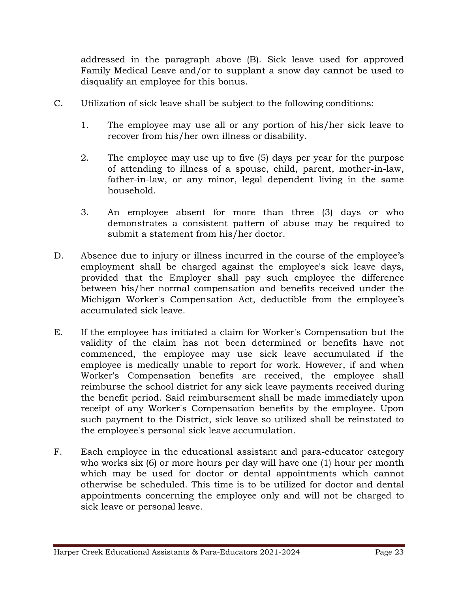addressed in the paragraph above (B). Sick leave used for approved Family Medical Leave and/or to supplant a snow day cannot be used to disqualify an employee for this bonus.

- C. Utilization of sick leave shall be subject to the following conditions:
	- 1. The employee may use all or any portion of his/her sick leave to recover from his/her own illness or disability.
	- 2. The employee may use up to five (5) days per year for the purpose of attending to illness of a spouse, child, parent, mother-in-law, father-in-law, or any minor, legal dependent living in the same household.
	- 3. An employee absent for more than three (3) days or who demonstrates a consistent pattern of abuse may be required to submit a statement from his/her doctor.
- D. Absence due to injury or illness incurred in the course of the employee's employment shall be charged against the employee's sick leave days, provided that the Employer shall pay such employee the difference between his/her normal compensation and benefits received under the Michigan Worker's Compensation Act, deductible from the employee's accumulated sick leave.
- E. If the employee has initiated a claim for Worker's Compensation but the validity of the claim has not been determined or benefits have not commenced, the employee may use sick leave accumulated if the employee is medically unable to report for work. However, if and when Worker's Compensation benefits are received, the employee shall reimburse the school district for any sick leave payments received during the benefit period. Said reimbursement shall be made immediately upon receipt of any Worker's Compensation benefits by the employee. Upon such payment to the District, sick leave so utilized shall be reinstated to the employee's personal sick leave accumulation.
- F. Each employee in the educational assistant and para-educator category who works six (6) or more hours per day will have one (1) hour per month which may be used for doctor or dental appointments which cannot otherwise be scheduled. This time is to be utilized for doctor and dental appointments concerning the employee only and will not be charged to sick leave or personal leave.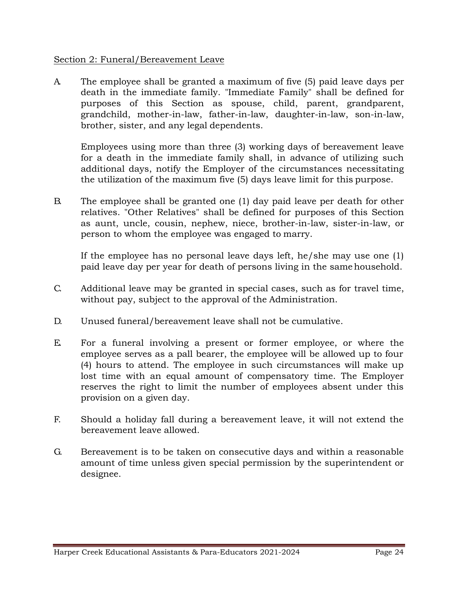### Section 2: Funeral/Bereavement Leave

A. The employee shall be granted a maximum of five (5) paid leave days per death in the immediate family. "Immediate Family" shall be defined for purposes of this Section as spouse, child, parent, grandparent, grandchild, mother-in-law, father-in-law, daughter-in-law, son-in-law, brother, sister, and any legal dependents.

Employees using more than three (3) working days of bereavement leave for a death in the immediate family shall, in advance of utilizing such additional days, notify the Employer of the circumstances necessitating the utilization of the maximum five (5) days leave limit for this purpose.

B. The employee shall be granted one (1) day paid leave per death for other relatives. "Other Relatives" shall be defined for purposes of this Section as aunt, uncle, cousin, nephew, niece, brother-in-law, sister-in-law, or person to whom the employee was engaged to marry.

If the employee has no personal leave days left, he/she may use one (1) paid leave day per year for death of persons living in the samehousehold.

- C. Additional leave may be granted in special cases, such as for travel time, without pay, subject to the approval of the Administration.
- D. Unused funeral/bereavement leave shall not be cumulative.
- E. For a funeral involving a present or former employee, or where the employee serves as a pall bearer, the employee will be allowed up to four (4) hours to attend. The employee in such circumstances will make up lost time with an equal amount of compensatory time. The Employer reserves the right to limit the number of employees absent under this provision on a given day.
- F. Should a holiday fall during a bereavement leave, it will not extend the bereavement leave allowed.
- G. Bereavement is to be taken on consecutive days and within a reasonable amount of time unless given special permission by the superintendent or designee.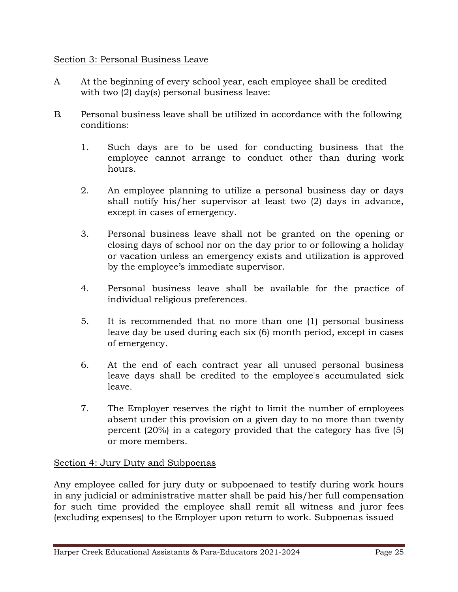### Section 3: Personal Business Leave

- A. At the beginning of every school year, each employee shall be credited with two (2) day(s) personal business leave:
- B. Personal business leave shall be utilized in accordance with the following conditions:
	- 1. Such days are to be used for conducting business that the employee cannot arrange to conduct other than during work hours.
	- 2. An employee planning to utilize a personal business day or days shall notify his/her supervisor at least two (2) days in advance, except in cases of emergency.
	- 3. Personal business leave shall not be granted on the opening or closing days of school nor on the day prior to or following a holiday or vacation unless an emergency exists and utilization is approved by the employee's immediate supervisor.
	- 4. Personal business leave shall be available for the practice of individual religious preferences.
	- 5. It is recommended that no more than one (1) personal business leave day be used during each six (6) month period, except in cases of emergency.
	- 6. At the end of each contract year all unused personal business leave days shall be credited to the employee's accumulated sick leave.
	- 7. The Employer reserves the right to limit the number of employees absent under this provision on a given day to no more than twenty percent (20%) in a category provided that the category has five (5) or more members.

### Section 4: Jury Duty and Subpoenas

Any employee called for jury duty or subpoenaed to testify during work hours in any judicial or administrative matter shall be paid his/her full compensation for such time provided the employee shall remit all witness and juror fees (excluding expenses) to the Employer upon return to work. Subpoenas issued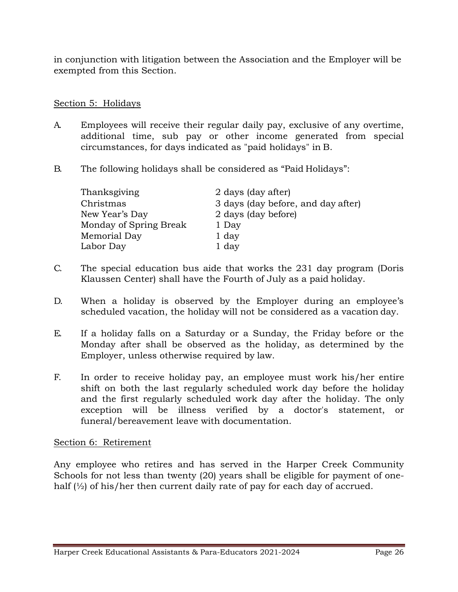in conjunction with litigation between the Association and the Employer will be exempted from this Section.

### Section 5: Holidays

- A. Employees will receive their regular daily pay, exclusive of any overtime, additional time, sub pay or other income generated from special circumstances, for days indicated as "paid holidays" in B.
- B. The following holidays shall be considered as "Paid Holidays":

| Thanksgiving           | 2 days (day after)                 |
|------------------------|------------------------------------|
| Christmas              | 3 days (day before, and day after) |
| New Year's Day         | 2 days (day before)                |
| Monday of Spring Break | 1 Day                              |
| Memorial Day           | 1 day                              |
| Labor Day              | 1 day                              |

- C. The special education bus aide that works the 231 day program (Doris Klaussen Center) shall have the Fourth of July as a paid holiday.
- D. When a holiday is observed by the Employer during an employee's scheduled vacation, the holiday will not be considered as a vacation day.
- E. If a holiday falls on a Saturday or a Sunday, the Friday before or the Monday after shall be observed as the holiday, as determined by the Employer, unless otherwise required by law.
- F. In order to receive holiday pay, an employee must work his/her entire shift on both the last regularly scheduled work day before the holiday and the first regularly scheduled work day after the holiday. The only exception will be illness verified by a doctor's statement, or funeral/bereavement leave with documentation.

#### Section 6: Retirement

Any employee who retires and has served in the Harper Creek Community Schools for not less than twenty (20) years shall be eligible for payment of onehalf  $\frac{1}{2}$  of his/her then current daily rate of pay for each day of accrued.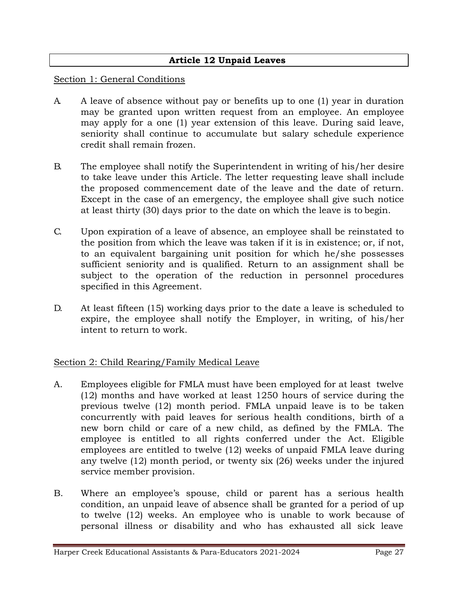### **Article 12 Unpaid Leaves**

#### Section 1: General Conditions

- A. A leave of absence without pay or benefits up to one (1) year in duration may be granted upon written request from an employee. An employee may apply for a one (1) year extension of this leave. During said leave, seniority shall continue to accumulate but salary schedule experience credit shall remain frozen.
- B. The employee shall notify the Superintendent in writing of his/her desire to take leave under this Article. The letter requesting leave shall include the proposed commencement date of the leave and the date of return. Except in the case of an emergency, the employee shall give such notice at least thirty (30) days prior to the date on which the leave is to begin.
- C. Upon expiration of a leave of absence, an employee shall be reinstated to the position from which the leave was taken if it is in existence; or, if not, to an equivalent bargaining unit position for which he/she possesses sufficient seniority and is qualified. Return to an assignment shall be subject to the operation of the reduction in personnel procedures specified in this Agreement.
- D. At least fifteen (15) working days prior to the date a leave is scheduled to expire, the employee shall notify the Employer, in writing, of his/her intent to return to work.

#### Section 2: Child Rearing/Family Medical Leave

- A. Employees eligible for FMLA must have been employed for at least twelve (12) months and have worked at least 1250 hours of service during the previous twelve (12) month period. FMLA unpaid leave is to be taken concurrently with paid leaves for serious health conditions, birth of a new born child or care of a new child, as defined by the FMLA. The employee is entitled to all rights conferred under the Act. Eligible employees are entitled to twelve (12) weeks of unpaid FMLA leave during any twelve (12) month period, or twenty six (26) weeks under the injured service member provision.
- B. Where an employee's spouse, child or parent has a serious health condition, an unpaid leave of absence shall be granted for a period of up to twelve (12) weeks. An employee who is unable to work because of personal illness or disability and who has exhausted all sick leave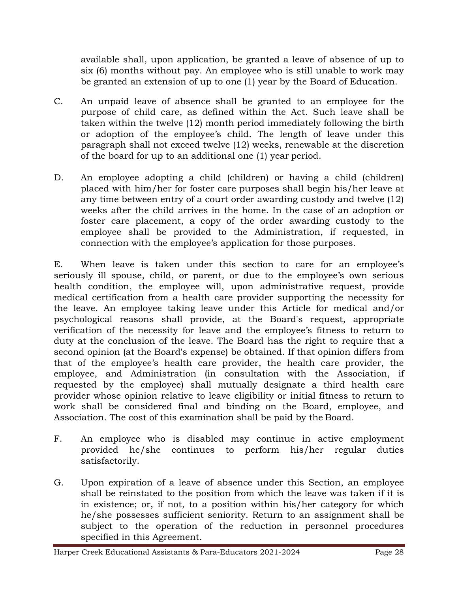available shall, upon application, be granted a leave of absence of up to six (6) months without pay. An employee who is still unable to work may be granted an extension of up to one (1) year by the Board of Education.

- C. An unpaid leave of absence shall be granted to an employee for the purpose of child care, as defined within the Act. Such leave shall be taken within the twelve (12) month period immediately following the birth or adoption of the employee's child. The length of leave under this paragraph shall not exceed twelve (12) weeks, renewable at the discretion of the board for up to an additional one (1) year period.
- D. An employee adopting a child (children) or having a child (children) placed with him/her for foster care purposes shall begin his/her leave at any time between entry of a court order awarding custody and twelve (12) weeks after the child arrives in the home. In the case of an adoption or foster care placement, a copy of the order awarding custody to the employee shall be provided to the Administration, if requested, in connection with the employee's application for those purposes.

E. When leave is taken under this section to care for an employee's seriously ill spouse, child, or parent, or due to the employee's own serious health condition, the employee will, upon administrative request, provide medical certification from a health care provider supporting the necessity for the leave. An employee taking leave under this Article for medical and/or psychological reasons shall provide, at the Board's request, appropriate verification of the necessity for leave and the employee's fitness to return to duty at the conclusion of the leave. The Board has the right to require that a second opinion (at the Board's expense) be obtained. If that opinion differs from that of the employee's health care provider, the health care provider, the employee, and Administration (in consultation with the Association, if requested by the employee) shall mutually designate a third health care provider whose opinion relative to leave eligibility or initial fitness to return to work shall be considered final and binding on the Board, employee, and Association. The cost of this examination shall be paid by the Board.

- F. An employee who is disabled may continue in active employment provided he/she continues to perform his/her regular duties satisfactorily.
- G. Upon expiration of a leave of absence under this Section, an employee shall be reinstated to the position from which the leave was taken if it is in existence; or, if not, to a position within his/her category for which he/she possesses sufficient seniority. Return to an assignment shall be subject to the operation of the reduction in personnel procedures specified in this Agreement.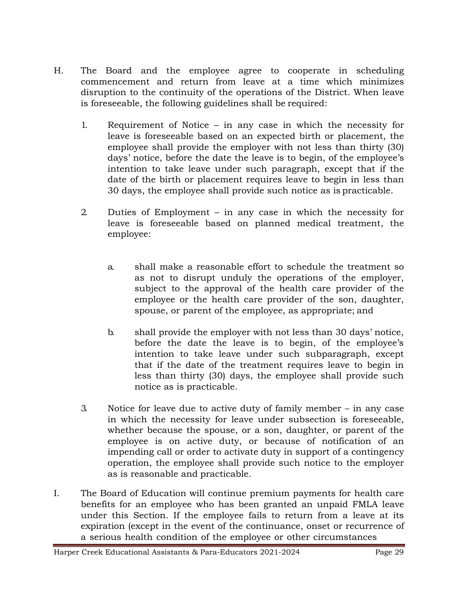- H. The Board and the employee agree to cooperate in scheduling commencement and return from leave at a time which minimizes disruption to the continuity of the operations of the District. When leave is foreseeable, the following guidelines shall be required:
	- 1. Requirement of Notice in any case in which the necessity for leave is foreseeable based on an expected birth or placement, the employee shall provide the employer with not less than thirty (30) days' notice, before the date the leave is to begin, of the employee's intention to take leave under such paragraph, except that if the date of the birth or placement requires leave to begin in less than 30 days, the employee shall provide such notice as is practicable.
	- 2. Duties of Employment in any case in which the necessity for leave is foreseeable based on planned medical treatment, the employee:
		- a. shall make a reasonable effort to schedule the treatment so as not to disrupt unduly the operations of the employer, subject to the approval of the health care provider of the employee or the health care provider of the son, daughter, spouse, or parent of the employee, as appropriate; and
		- b. shall provide the employer with not less than 30 days' notice, before the date the leave is to begin, of the employee's intention to take leave under such subparagraph, except that if the date of the treatment requires leave to begin in less than thirty (30) days, the employee shall provide such notice as is practicable.
	- 3. Notice for leave due to active duty of family member in any case in which the necessity for leave under subsection is foreseeable, whether because the spouse, or a son, daughter, or parent of the employee is on active duty, or because of notification of an impending call or order to activate duty in support of a contingency operation, the employee shall provide such notice to the employer as is reasonable and practicable.
- I. The Board of Education will continue premium payments for health care benefits for an employee who has been granted an unpaid FMLA leave under this Section. If the employee fails to return from a leave at its expiration (except in the event of the continuance, onset or recurrence of a serious health condition of the employee or other circumstances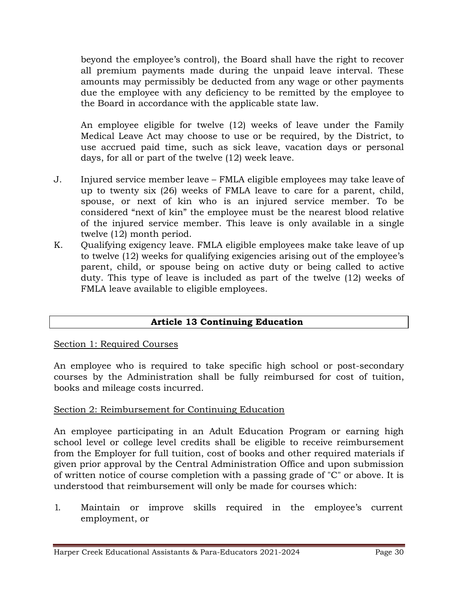beyond the employee's control), the Board shall have the right to recover all premium payments made during the unpaid leave interval. These amounts may permissibly be deducted from any wage or other payments due the employee with any deficiency to be remitted by the employee to the Board in accordance with the applicable state law.

An employee eligible for twelve (12) weeks of leave under the Family Medical Leave Act may choose to use or be required, by the District, to use accrued paid time, such as sick leave, vacation days or personal days, for all or part of the twelve (12) week leave.

- J. Injured service member leave FMLA eligible employees may take leave of up to twenty six (26) weeks of FMLA leave to care for a parent, child, spouse, or next of kin who is an injured service member. To be considered "next of kin" the employee must be the nearest blood relative of the injured service member. This leave is only available in a single twelve (12) month period.
- K. Qualifying exigency leave. FMLA eligible employees make take leave of up to twelve (12) weeks for qualifying exigencies arising out of the employee's parent, child, or spouse being on active duty or being called to active duty. This type of leave is included as part of the twelve (12) weeks of FMLA leave available to eligible employees.

## **Article 13 Continuing Education**

#### Section 1: Required Courses

An employee who is required to take specific high school or post-secondary courses by the Administration shall be fully reimbursed for cost of tuition, books and mileage costs incurred.

### Section 2: Reimbursement for Continuing Education

An employee participating in an Adult Education Program or earning high school level or college level credits shall be eligible to receive reimbursement from the Employer for full tuition, cost of books and other required materials if given prior approval by the Central Administration Office and upon submission of written notice of course completion with a passing grade of "C" or above. It is understood that reimbursement will only be made for courses which:

1. Maintain or improve skills required in the employee's current employment, or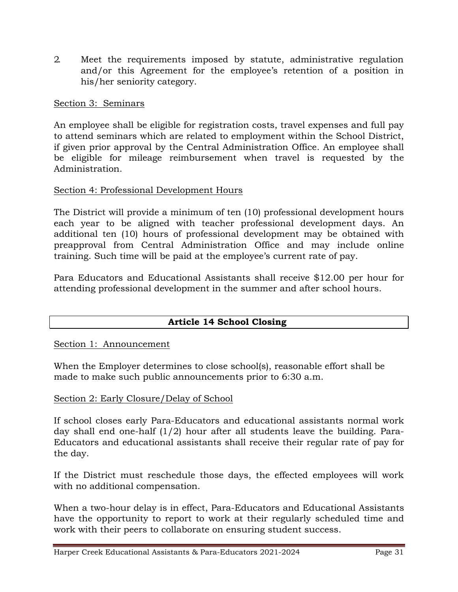2. Meet the requirements imposed by statute, administrative regulation and/or this Agreement for the employee's retention of a position in his/her seniority category.

Section 3: Seminars

An employee shall be eligible for registration costs, travel expenses and full pay to attend seminars which are related to employment within the School District, if given prior approval by the Central Administration Office. An employee shall be eligible for mileage reimbursement when travel is requested by the Administration.

### Section 4: Professional Development Hours

The District will provide a minimum of ten (10) professional development hours each year to be aligned with teacher professional development days. An additional ten (10) hours of professional development may be obtained with preapproval from Central Administration Office and may include online training. Such time will be paid at the employee's current rate of pay.

Para Educators and Educational Assistants shall receive \$12.00 per hour for attending professional development in the summer and after school hours.

### **Article 14 School Closing**

Section 1: Announcement

When the Employer determines to close school(s), reasonable effort shall be made to make such public announcements prior to 6:30 a.m.

#### Section 2: Early Closure/Delay of School

If school closes early Para-Educators and educational assistants normal work day shall end one-half (1/2) hour after all students leave the building. Para-Educators and educational assistants shall receive their regular rate of pay for the day.

If the District must reschedule those days, the effected employees will work with no additional compensation.

When a two-hour delay is in effect, Para-Educators and Educational Assistants have the opportunity to report to work at their regularly scheduled time and work with their peers to collaborate on ensuring student success.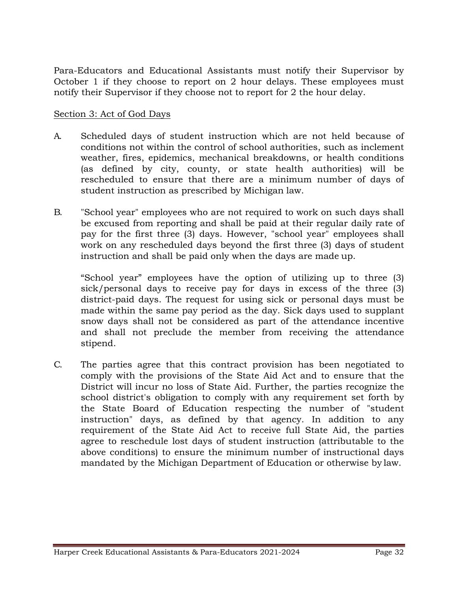Para-Educators and Educational Assistants must notify their Supervisor by October 1 if they choose to report on 2 hour delays. These employees must notify their Supervisor if they choose not to report for 2 the hour delay.

### Section 3: Act of God Days

- A. Scheduled days of student instruction which are not held because of conditions not within the control of school authorities, such as inclement weather, fires, epidemics, mechanical breakdowns, or health conditions (as defined by city, county, or state health authorities) will be rescheduled to ensure that there are a minimum number of days of student instruction as prescribed by Michigan law.
- B. "School year" employees who are not required to work on such days shall be excused from reporting and shall be paid at their regular daily rate of pay for the first three (3) days. However, "school year" employees shall work on any rescheduled days beyond the first three (3) days of student instruction and shall be paid only when the days are made up.

"School year" employees have the option of utilizing up to three (3) sick/personal days to receive pay for days in excess of the three (3) district-paid days. The request for using sick or personal days must be made within the same pay period as the day. Sick days used to supplant snow days shall not be considered as part of the attendance incentive and shall not preclude the member from receiving the attendance stipend.

C. The parties agree that this contract provision has been negotiated to comply with the provisions of the State Aid Act and to ensure that the District will incur no loss of State Aid. Further, the parties recognize the school district's obligation to comply with any requirement set forth by the State Board of Education respecting the number of "student instruction" days, as defined by that agency. In addition to any requirement of the State Aid Act to receive full State Aid, the parties agree to reschedule lost days of student instruction (attributable to the above conditions) to ensure the minimum number of instructional days mandated by the Michigan Department of Education or otherwise by law.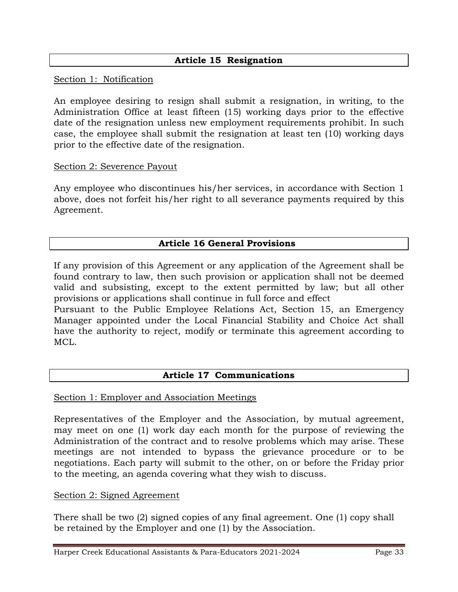### **Article 15 Resignation**

Section 1: Notification

An employee desiring to resign shall submit a resignation, in writing, to the Administration Office at least fifteen (15) working days prior to the effective date of the resignation unless new employment requirements prohibit. In such case, the employee shall submit the resignation at least ten (10) working days prior to the effective date of the resignation.

#### Section 2: Severence Payout

Any employee who discontinues his/her services, in accordance with Section 1 above, does not forfeit his/her right to all severance payments required by this Agreement.

#### **Article 16 General Provisions**

If any provision of this Agreement or any application of the Agreement shall be found contrary to law, then such provision or application shall not be deemed valid and subsisting, except to the extent permitted by law; but all other provisions or applications shall continue in full force and effect

Pursuant to the Public Employee Relations Act, Section 15, an Emergency Manager appointed under the Local Financial Stability and Choice Act shall have the authority to reject, modify or terminate this agreement according to MCL.

#### **Article 17 Communications**

#### Section 1: Employer and Association Meetings

Representatives of the Employer and the Association, by mutual agreement, may meet on one (1) work day each month for the purpose of reviewing the Administration of the contract and to resolve problems which may arise. These meetings are not intended to bypass the grievance procedure or to be negotiations. Each party will submit to the other, on or before the Friday prior to the meeting, an agenda covering what they wish to discuss.

#### Section 2: Signed Agreement

There shall be two (2) signed copies of any final agreement. One (1) copy shall be retained by the Employer and one (1) by the Association.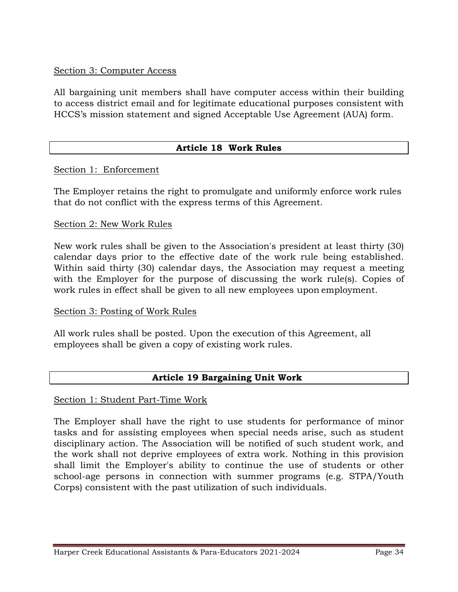### Section 3: Computer Access

All bargaining unit members shall have computer access within their building to access district email and for legitimate educational purposes consistent with HCCS's mission statement and signed Acceptable Use Agreement (AUA) form.

### **Article 18 Work Rules**

#### Section 1: Enforcement

The Employer retains the right to promulgate and uniformly enforce work rules that do not conflict with the express terms of this Agreement.

#### Section 2: New Work Rules

New work rules shall be given to the Association's president at least thirty (30) calendar days prior to the effective date of the work rule being established. Within said thirty (30) calendar days, the Association may request a meeting with the Employer for the purpose of discussing the work rule (s). Copies of work rules in effect shall be given to all new employees upon employment.

#### Section 3: Posting of Work Rules

All work rules shall be posted. Upon the execution of this Agreement, all employees shall be given a copy of existing work rules.

#### **Article 19 Bargaining Unit Work**

#### Section 1: Student Part-Time Work

The Employer shall have the right to use students for performance of minor tasks and for assisting employees when special needs arise, such as student disciplinary action. The Association will be notified of such student work, and the work shall not deprive employees of extra work. Nothing in this provision shall limit the Employer's ability to continue the use of students or other school-age persons in connection with summer programs (e.g. STPA/Youth Corps) consistent with the past utilization of such individuals.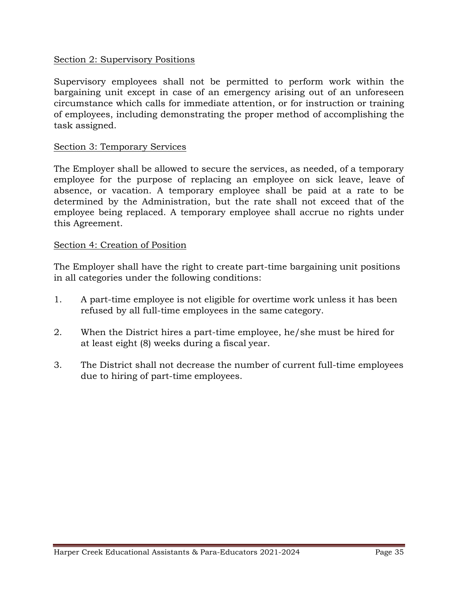#### Section 2: Supervisory Positions

Supervisory employees shall not be permitted to perform work within the bargaining unit except in case of an emergency arising out of an unforeseen circumstance which calls for immediate attention, or for instruction or training of employees, including demonstrating the proper method of accomplishing the task assigned.

#### Section 3: Temporary Services

The Employer shall be allowed to secure the services, as needed, of a temporary employee for the purpose of replacing an employee on sick leave, leave of absence, or vacation. A temporary employee shall be paid at a rate to be determined by the Administration, but the rate shall not exceed that of the employee being replaced. A temporary employee shall accrue no rights under this Agreement.

#### Section 4: Creation of Position

The Employer shall have the right to create part-time bargaining unit positions in all categories under the following conditions:

- 1. A part-time employee is not eligible for overtime work unless it has been refused by all full-time employees in the same category.
- 2. When the District hires a part-time employee, he/she must be hired for at least eight (8) weeks during a fiscal year.
- 3. The District shall not decrease the number of current full-time employees due to hiring of part-time employees.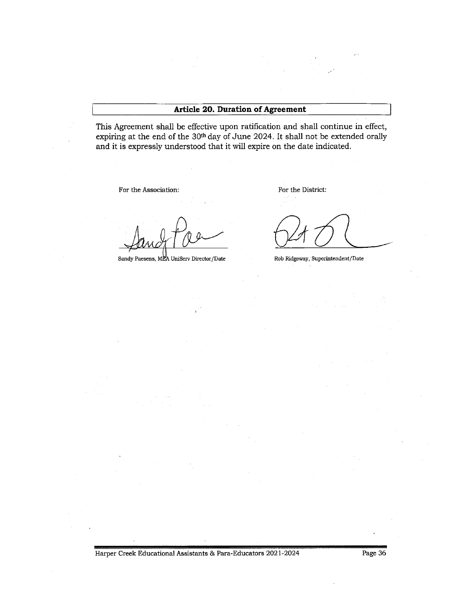#### **Article 20. Duration of Agreement**

This Agreement shall be effective upon ratification and shall continue in effect, expiring at the end of the 30th day of June 2024. It shall not be extended orally and it is expressly understood that it will expire on the date indicated.

For the Association:

Sandy Paesens, MEA UniServ Director/Date

For the District:

Rob Ridgeway, Superintendent/Date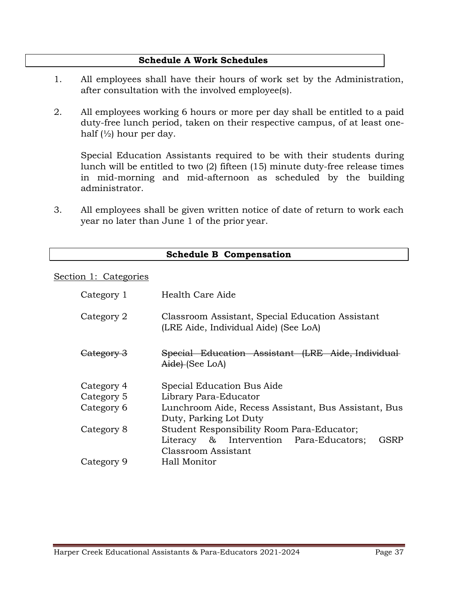#### **Schedule A Work Schedules**

- 1. All employees shall have their hours of work set by the Administration, after consultation with the involved employee(s).
- 2. All employees working 6 hours or more per day shall be entitled to a paid duty-free lunch period, taken on their respective campus, of at least onehalf  $\left(\frac{1}{2}\right)$  hour per day.

Special Education Assistants required to be with their students during lunch will be entitled to two (2) fifteen (15) minute duty-free release times in mid-morning and mid-afternoon as scheduled by the building administrator.

3. All employees shall be given written notice of date of return to work each year no later than June 1 of the prior year.

|                                                                                                         | <b>Schedule B Compensation</b>                                       |  |  |
|---------------------------------------------------------------------------------------------------------|----------------------------------------------------------------------|--|--|
| Section 1: Categories                                                                                   |                                                                      |  |  |
| Category 1                                                                                              | Health Care Aide                                                     |  |  |
| Classroom Assistant, Special Education Assistant<br>Category 2<br>(LRE Aide, Individual Aide) (See LoA) |                                                                      |  |  |
| Category 3                                                                                              | Special Education Assistant (LRE Aide, Individual<br>Aide) (See LoA) |  |  |
| Category 4                                                                                              | Special Education Bus Aide                                           |  |  |
| Category 5                                                                                              | Library Para-Educator                                                |  |  |
| Category 6                                                                                              | Lunchroom Aide, Recess Assistant, Bus Assistant, Bus                 |  |  |
|                                                                                                         | Duty, Parking Lot Duty                                               |  |  |
| Category 8                                                                                              | Student Responsibility Room Para-Educator;                           |  |  |
|                                                                                                         | GSRP<br>Literacy & Intervention Para-Educators;                      |  |  |
|                                                                                                         | Classroom Assistant                                                  |  |  |
| Category 9                                                                                              | Hall Monitor                                                         |  |  |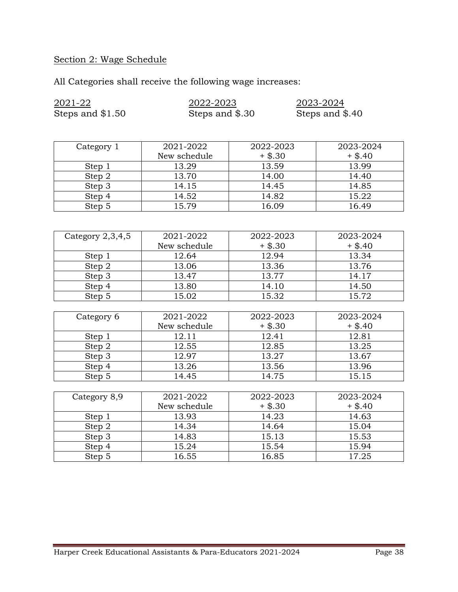# Section 2: Wage Schedule

All Categories shall receive the following wage increases:

| 2021-22            | 2022-2023       |           | 2023-2024       |  |  |  |
|--------------------|-----------------|-----------|-----------------|--|--|--|
| Steps and \$1.50   | Steps and \$.30 |           | Steps and \$.40 |  |  |  |
|                    |                 |           |                 |  |  |  |
|                    |                 |           |                 |  |  |  |
| Category 1         | 2021-2022       | 2022-2023 | 2023-2024       |  |  |  |
|                    | New schedule    | $+$ \$.30 | $+$ \$.40       |  |  |  |
| Step 1             | 13.29           | 13.59     | 13.99           |  |  |  |
| Step 2             | 13.70           | 14.00     | 14.40           |  |  |  |
| Step 3             | 14.15           | 14.45     | 14.85           |  |  |  |
| Step 4             | 14.52           | 14.82     | 15.22           |  |  |  |
| Step 5             | 15.79           | 16.09     | 16.49           |  |  |  |
|                    |                 |           |                 |  |  |  |
|                    |                 |           |                 |  |  |  |
| Category $2,3,4,5$ | 2021-2022       | 2022-2023 | 2023-2024       |  |  |  |
|                    | New schedule    | $+$ \$.30 | $+$ \$.40       |  |  |  |
| Step 1             | 12.64           | 12.94     | 13.34           |  |  |  |
| Step 2             | 13.06           | 13.36     | 13.76           |  |  |  |
| Step 3             | 13.47           | 13.77     | 14.17           |  |  |  |
| Step 4             | 13.80           | 14.10     | 14.50           |  |  |  |
| Step 5             | 15.02           | 15.32     | 15.72           |  |  |  |
|                    |                 |           |                 |  |  |  |
| Category 6         | 2021-2022       | 2022-2023 | 2023-2024       |  |  |  |
|                    | New schedule    | $+$ \$.30 | $+$ \$.40       |  |  |  |
| Step 1             | 12.11           | 12.41     | 12.81           |  |  |  |
| Step 2             | 12.55           | 12.85     | 13.25           |  |  |  |
| Step 3             | 12.97           | 13.27     | 13.67           |  |  |  |
| Step 4             | 13.26           | 13.56     | 13.96           |  |  |  |
| Step 5             | 14.45           | 14.75     | 15.15           |  |  |  |
|                    |                 |           |                 |  |  |  |
| Category 8,9       | 2021-2022       | 2022-2023 | 2023-2024       |  |  |  |
|                    | New schedule    | $+$ \$.30 | $+$ \$.40       |  |  |  |
| Step 1             | 13.93           | 14.23     | 14.63           |  |  |  |
| Step 2             | 14.34           | 14.64     | 15.04           |  |  |  |
| Step 3             | 14.83           | 15.13     | 15.53           |  |  |  |
| Step 4             | 15.24           | 15.54     | 15.94           |  |  |  |
| Step 5             | 16.55           | 16.85     | 17.25           |  |  |  |
|                    |                 |           |                 |  |  |  |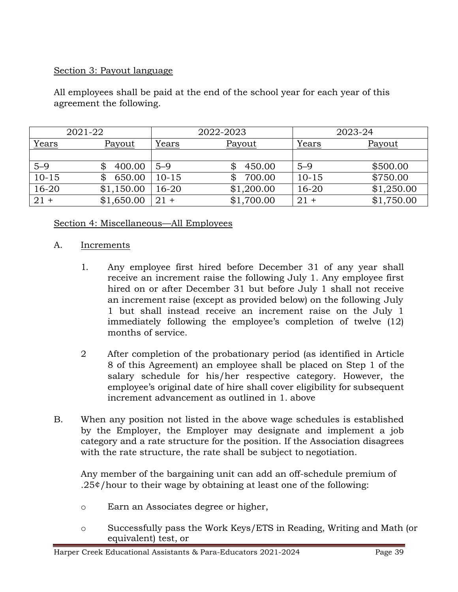### Section 3: Payout language

All employees shall be paid at the end of the school year for each year of this agreement the following.

|           | 2021-22       | 2022-2023 |              | 2023-24   |            |
|-----------|---------------|-----------|--------------|-----------|------------|
| Years     | <b>Payout</b> | Years     | Payout       | Years     | Payout     |
|           |               |           |              |           |            |
| $5 - 9$   | 400.00        | $5 - 9$   | 450.00<br>\$ | $5 - 9$   | \$500.00   |
| $10 - 15$ | 650.00<br>S   | $10 - 15$ | 700.00<br>\$ | $10 - 15$ | \$750.00   |
| $16 - 20$ | \$1,150.00    | $16 - 20$ | \$1,200.00   | $16 - 20$ | \$1,250.00 |
| $21 +$    | \$1,650.00    | $21 +$    | \$1,700.00   | $21 +$    | \$1,750.00 |

### Section 4: Miscellaneous—All Employees

#### A. Increments

- 1. Any employee first hired before December 31 of any year shall receive an increment raise the following July 1. Any employee first hired on or after December 31 but before July 1 shall not receive an increment raise (except as provided below) on the following July 1 but shall instead receive an increment raise on the July 1 immediately following the employee's completion of twelve (12) months of service.
- 2 After completion of the probationary period (as identified in Article 8 of this Agreement) an employee shall be placed on Step 1 of the salary schedule for his/her respective category. However, the employee's original date of hire shall cover eligibility for subsequent increment advancement as outlined in 1. above
- B. When any position not listed in the above wage schedules is established by the Employer, the Employer may designate and implement a job category and a rate structure for the position. If the Association disagrees with the rate structure, the rate shall be subject to negotiation.

Any member of the bargaining unit can add an off-schedule premium of .25¢/hour to their wage by obtaining at least one of the following:

- o Earn an Associates degree or higher,
- o Successfully pass the Work Keys/ETS in Reading, Writing and Math (or equivalent) test, or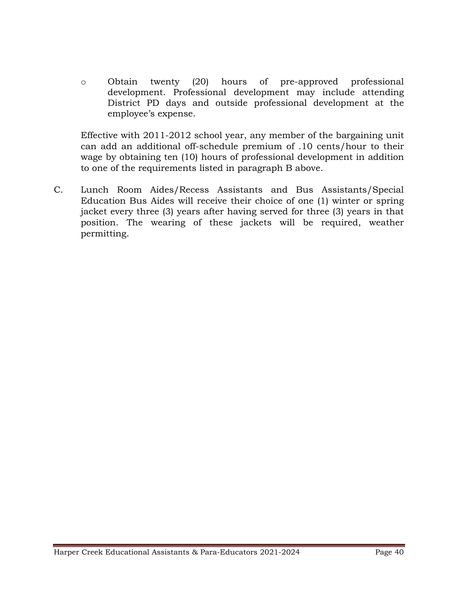o Obtain twenty (20) hours of pre-approved professional development. Professional development may include attending District PD days and outside professional development at the employee's expense.

Effective with 2011-2012 school year, any member of the bargaining unit can add an additional off-schedule premium of .10 cents/hour to their wage by obtaining ten (10) hours of professional development in addition to one of the requirements listed in paragraph B above.

C. Lunch Room Aides/Recess Assistants and Bus Assistants/Special Education Bus Aides will receive their choice of one (1) winter or spring jacket every three (3) years after having served for three (3) years in that position. The wearing of these jackets will be required, weather permitting.